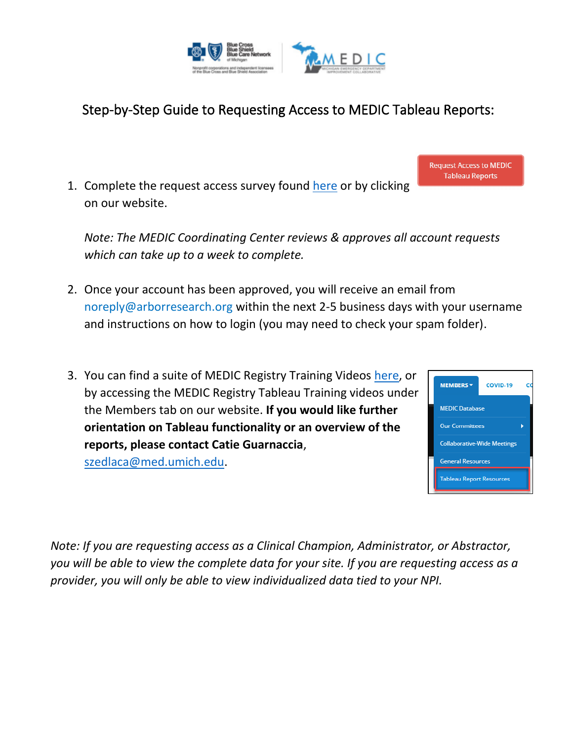

## Step-by-Step Guide to Requesting Access to MEDIC Tableau Reports:

1. Complete the request access survey found [here](https://umichumhs.qualtrics.com/jfe/form/SV_bxcE1Jsm0fhCYgS) or by clicking on our website.

*Note: The MEDIC Coordinating Center reviews & approves all account requests which can take up to a week to complete.*

- 2. Once your account has been approved, you will receive an email from noreply@arborresearch.org within the next 2-5 business days with your username and instructions on how to login (you may need to check your spam folder).
- 3. You can find a suite of MEDIC Registry Training Videos [here,](https://medicqi.org/Members/Tableau-Report-Resources) or by accessing the MEDIC Registry Tableau Training videos under the Members tab on our website. **If you would like further orientation on Tableau functionality or an overview of the reports, please contact Catie Guarnaccia**, [szedlaca@med.umich.edu.](mailto:szedlaca@med.umich.edu)



*Note: If you are requesting access as a Clinical Champion, Administrator, or Abstractor, you will be able to view the complete data for your site. If you are requesting access as a provider, you will only be able to view individualized data tied to your NPI.* 

**Request Access to MEDIC Tableau Reports**